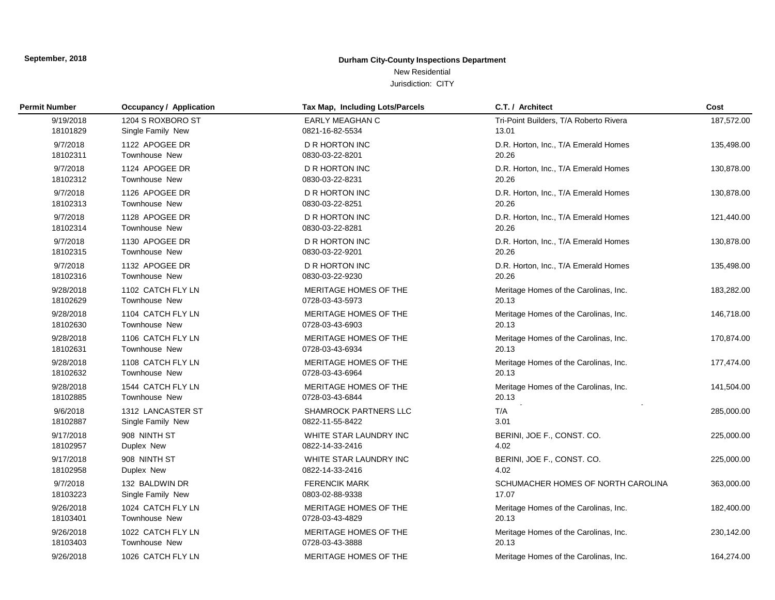# **Durham City-County Inspections Department**

New Residential Jurisdiction: CITY

| <b>Permit Number</b> | <b>Occupancy / Application</b> | Tax Map, Including Lots/Parcels | C.T. / Architect                       | Cost       |
|----------------------|--------------------------------|---------------------------------|----------------------------------------|------------|
| 9/19/2018            | 1204 S ROXBORO ST              | <b>EARLY MEAGHAN C</b>          | Tri-Point Builders, T/A Roberto Rivera | 187,572.00 |
| 18101829             | Single Family New              | 0821-16-82-5534                 | 13.01                                  |            |
| 9/7/2018             | 1122 APOGEE DR                 | D R HORTON INC                  | D.R. Horton, Inc., T/A Emerald Homes   | 135,498.00 |
| 18102311             | <b>Townhouse New</b>           | 0830-03-22-8201                 | 20.26                                  |            |
| 9/7/2018             | 1124 APOGEE DR                 | <b>D R HORTON INC</b>           | D.R. Horton, Inc., T/A Emerald Homes   | 130,878.00 |
| 18102312             | Townhouse New                  | 0830-03-22-8231                 | 20.26                                  |            |
| 9/7/2018             | 1126 APOGEE DR                 | D R HORTON INC                  | D.R. Horton, Inc., T/A Emerald Homes   | 130,878.00 |
| 18102313             | Townhouse New                  | 0830-03-22-8251                 | 20.26                                  |            |
| 9/7/2018             | 1128 APOGEE DR                 | D R HORTON INC                  | D.R. Horton, Inc., T/A Emerald Homes   | 121,440.00 |
| 18102314             | Townhouse New                  | 0830-03-22-8281                 | 20.26                                  |            |
| 9/7/2018             | 1130 APOGEE DR                 | <b>D R HORTON INC</b>           | D.R. Horton, Inc., T/A Emerald Homes   | 130,878.00 |
| 18102315             | <b>Townhouse New</b>           | 0830-03-22-9201                 | 20.26                                  |            |
| 9/7/2018             | 1132 APOGEE DR                 | <b>D R HORTON INC</b>           | D.R. Horton, Inc., T/A Emerald Homes   | 135,498.00 |
| 18102316             | Townhouse New                  | 0830-03-22-9230                 | 20.26                                  |            |
| 9/28/2018            | 1102 CATCH FLY LN              | MERITAGE HOMES OF THE           | Meritage Homes of the Carolinas, Inc.  | 183,282.00 |
| 18102629             | <b>Townhouse New</b>           | 0728-03-43-5973                 | 20.13                                  |            |
| 9/28/2018            | 1104 CATCH FLY LN              | MERITAGE HOMES OF THE           | Meritage Homes of the Carolinas, Inc.  | 146,718.00 |
| 18102630             | <b>Townhouse New</b>           | 0728-03-43-6903                 | 20.13                                  |            |
| 9/28/2018            | 1106 CATCH FLY LN              | MERITAGE HOMES OF THE           | Meritage Homes of the Carolinas, Inc.  | 170,874.00 |
| 18102631             | <b>Townhouse New</b>           | 0728-03-43-6934                 | 20.13                                  |            |
| 9/28/2018            | 1108 CATCH FLY LN              | MERITAGE HOMES OF THE           | Meritage Homes of the Carolinas, Inc.  | 177,474.00 |
| 18102632             | <b>Townhouse New</b>           | 0728-03-43-6964                 | 20.13                                  |            |
| 9/28/2018            | 1544 CATCH FLY LN              | MERITAGE HOMES OF THE           | Meritage Homes of the Carolinas, Inc.  | 141,504.00 |
| 18102885             | Townhouse New                  | 0728-03-43-6844                 | 20.13<br>$\omega_{\rm eff}$            |            |
| 9/6/2018             | 1312 LANCASTER ST              | <b>SHAMROCK PARTNERS LLC</b>    | T/A                                    | 285,000.00 |
| 18102887             | Single Family New              | 0822-11-55-8422                 | 3.01                                   |            |
| 9/17/2018            | 908 NINTH ST                   | WHITE STAR LAUNDRY INC          | BERINI, JOE F., CONST. CO.             | 225,000.00 |
| 18102957             | Duplex New                     | 0822-14-33-2416                 | 4.02                                   |            |
| 9/17/2018            | 908 NINTH ST                   | WHITE STAR LAUNDRY INC          | BERINI, JOE F., CONST. CO.             | 225,000.00 |
| 18102958             | Duplex New                     | 0822-14-33-2416                 | 4.02                                   |            |
| 9/7/2018             | 132 BALDWIN DR                 | <b>FERENCIK MARK</b>            | SCHUMACHER HOMES OF NORTH CAROLINA     | 363,000.00 |
| 18103223             | Single Family New              | 0803-02-88-9338                 | 17.07                                  |            |
| 9/26/2018            | 1024 CATCH FLY LN              | MERITAGE HOMES OF THE           | Meritage Homes of the Carolinas, Inc.  | 182,400.00 |
| 18103401             | Townhouse New                  | 0728-03-43-4829                 | 20.13                                  |            |
| 9/26/2018            | 1022 CATCH FLY LN              | MERITAGE HOMES OF THE           | Meritage Homes of the Carolinas, Inc.  | 230,142.00 |
| 18103403             | <b>Townhouse New</b>           | 0728-03-43-3888                 | 20.13                                  |            |
| 9/26/2018            | 1026 CATCH FLY LN              | MERITAGE HOMES OF THE           | Meritage Homes of the Carolinas, Inc.  | 164,274.00 |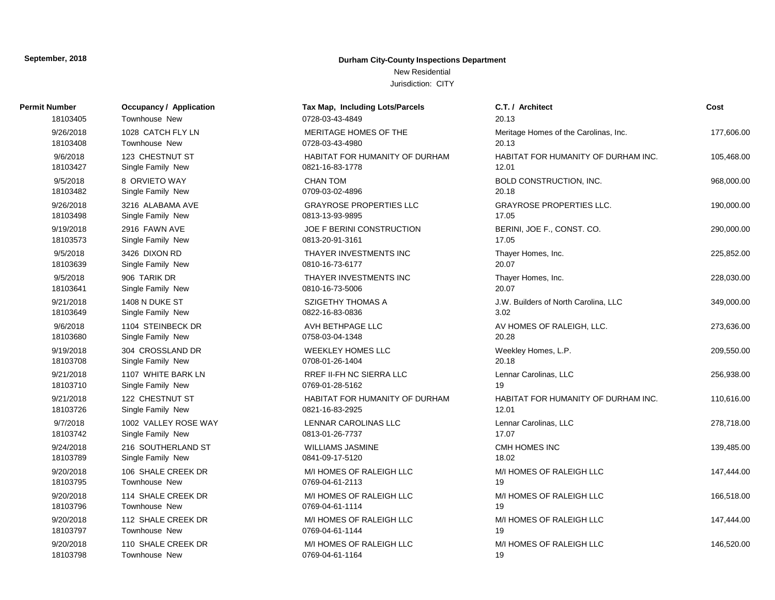# **Durham City-County Inspections Department**

New Residential

| Permit Number | <b>Occupancy / Application</b> | Tax Map, Including Lots/Parcels       | C.T. / Architect                      | Cost       |
|---------------|--------------------------------|---------------------------------------|---------------------------------------|------------|
| 18103405      | Townhouse New                  | 0728-03-43-4849                       | 20.13                                 |            |
| 9/26/2018     | 1028 CATCH FLY LN              | MERITAGE HOMES OF THE                 | Meritage Homes of the Carolinas, Inc. | 177,606.00 |
| 18103408      | <b>Townhouse New</b>           | 0728-03-43-4980                       | 20.13                                 |            |
| 9/6/2018      | 123 CHESTNUT ST                | <b>HABITAT FOR HUMANITY OF DURHAM</b> | HABITAT FOR HUMANITY OF DURHAM INC.   | 105,468.00 |
| 18103427      | Single Family New              | 0821-16-83-1778                       | 12.01                                 |            |
| 9/5/2018      | 8 ORVIETO WAY                  | <b>CHAN TOM</b>                       | <b>BOLD CONSTRUCTION, INC.</b>        | 968,000.00 |
| 18103482      | Single Family New              | 0709-03-02-4896                       | 20.18                                 |            |
| 9/26/2018     | 3216 ALABAMA AVE               | <b>GRAYROSE PROPERTIES LLC</b>        | <b>GRAYROSE PROPERTIES LLC.</b>       | 190,000.00 |
| 18103498      | Single Family New              | 0813-13-93-9895                       | 17.05                                 |            |
| 9/19/2018     | 2916 FAWN AVE                  | JOE F BERINI CONSTRUCTION             | BERINI, JOE F., CONST. CO.            | 290,000.00 |
| 18103573      | Single Family New              | 0813-20-91-3161                       | 17.05                                 |            |
| 9/5/2018      | 3426 DIXON RD                  | THAYER INVESTMENTS INC                | Thayer Homes, Inc.                    | 225,852.00 |
| 18103639      | Single Family New              | 0810-16-73-6177                       | 20.07                                 |            |
| 9/5/2018      | 906 TARIK DR                   | THAYER INVESTMENTS INC                | Thayer Homes, Inc.                    | 228,030.00 |
| 18103641      | Single Family New              | 0810-16-73-5006                       | 20.07                                 |            |
| 9/21/2018     | 1408 N DUKE ST                 | <b>SZIGETHY THOMAS A</b>              | J.W. Builders of North Carolina, LLC  | 349,000.00 |
| 18103649      | Single Family New              | 0822-16-83-0836                       | 3.02                                  |            |
| 9/6/2018      | 1104 STEINBECK DR              | AVH BETHPAGE LLC                      | AV HOMES OF RALEIGH, LLC.             | 273,636.00 |
| 18103680      | Single Family New              | 0758-03-04-1348                       | 20.28                                 |            |
| 9/19/2018     | 304 CROSSLAND DR               | WEEKLEY HOMES LLC                     | Weekley Homes, L.P.                   | 209,550.00 |
| 18103708      | Single Family New              | 0708-01-26-1404                       | 20.18                                 |            |
| 9/21/2018     | 1107 WHITE BARK LN             | RREF II-FH NC SIERRA LLC              | Lennar Carolinas, LLC                 | 256,938.00 |
| 18103710      | Single Family New              | 0769-01-28-5162                       | 19                                    |            |
| 9/21/2018     | 122 CHESTNUT ST                | <b>HABITAT FOR HUMANITY OF DURHAM</b> | HABITAT FOR HUMANITY OF DURHAM INC.   | 110,616.00 |
| 18103726      | Single Family New              | 0821-16-83-2925                       | 12.01                                 |            |
| 9/7/2018      | 1002 VALLEY ROSE WAY           | <b>LENNAR CAROLINAS LLC</b>           | Lennar Carolinas, LLC                 | 278,718.00 |
| 18103742      | Single Family New              | 0813-01-26-7737                       | 17.07                                 |            |
| 9/24/2018     | 216 SOUTHERLAND ST             | <b>WILLIAMS JASMINE</b>               | CMH HOMES INC                         | 139,485.00 |
| 18103789      | Single Family New              | 0841-09-17-5120                       | 18.02                                 |            |
| 9/20/2018     | 106 SHALE CREEK DR             | M/I HOMES OF RALEIGH LLC              | M/I HOMES OF RALEIGH LLC              | 147,444.00 |
| 18103795      | Townhouse New                  | 0769-04-61-2113                       | 19                                    |            |
| 9/20/2018     | 114 SHALE CREEK DR             | M/I HOMES OF RALEIGH LLC              | M/I HOMES OF RALEIGH LLC              | 166,518.00 |
| 18103796      | Townhouse New                  | 0769-04-61-1114                       | 19                                    |            |
| 9/20/2018     | 112 SHALE CREEK DR             | M/I HOMES OF RALEIGH LLC              | M/I HOMES OF RALEIGH LLC              | 147,444.00 |
| 18103797      | Townhouse New                  | 0769-04-61-1144                       | 19                                    |            |
| 9/20/2018     | 110 SHALE CREEK DR             | M/I HOMES OF RALEIGH LLC              | M/I HOMES OF RALEIGH LLC              | 146,520.00 |
| 18103798      | Townhouse New                  | 0769-04-61-1164                       | 19                                    |            |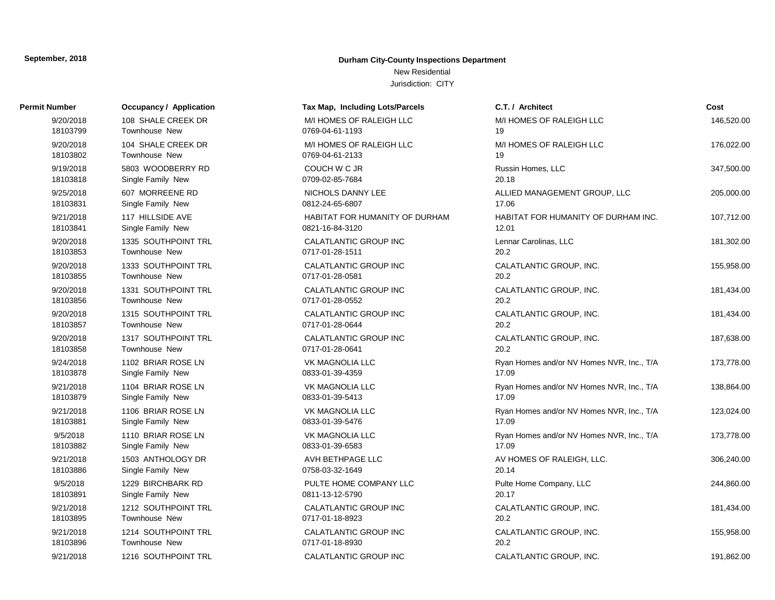# **Durham City-County Inspections Department**

New Residential

| Permit Number | <b>Occupancy / Application</b> | Tax Map, Including Lots/Parcels | C.T. / Architect                          | Cost       |
|---------------|--------------------------------|---------------------------------|-------------------------------------------|------------|
| 9/20/2018     | 108 SHALE CREEK DR             | M/I HOMES OF RALEIGH LLC        | M/I HOMES OF RALEIGH LLC                  | 146,520.00 |
| 18103799      | Townhouse New                  | 0769-04-61-1193                 | 19                                        |            |
| 9/20/2018     | 104 SHALE CREEK DR             | M/I HOMES OF RALEIGH LLC        | M/I HOMES OF RALEIGH LLC                  | 176,022.00 |
| 18103802      | <b>Townhouse New</b>           | 0769-04-61-2133                 | 19                                        |            |
| 9/19/2018     | 5803 WOODBERRY RD              | COUCH W C JR                    | Russin Homes, LLC                         | 347,500.00 |
| 18103818      | Single Family New              | 0709-02-85-7684                 | 20.18                                     |            |
| 9/25/2018     | 607 MORREENE RD                | NICHOLS DANNY LEE               | ALLIED MANAGEMENT GROUP, LLC              | 205,000.00 |
| 18103831      | Single Family New              | 0812-24-65-6807                 | 17.06                                     |            |
| 9/21/2018     | 117 HILLSIDE AVE               | HABITAT FOR HUMANITY OF DURHAM  | HABITAT FOR HUMANITY OF DURHAM INC.       | 107,712.00 |
| 18103841      | Single Family New              | 0821-16-84-3120                 | 12.01                                     |            |
| 9/20/2018     | 1335 SOUTHPOINT TRL            | CALATLANTIC GROUP INC           | Lennar Carolinas, LLC                     | 181,302.00 |
| 18103853      | Townhouse New                  | 0717-01-28-1511                 | 20.2                                      |            |
| 9/20/2018     | 1333 SOUTHPOINT TRL            | CALATLANTIC GROUP INC           | CALATLANTIC GROUP, INC.                   | 155,958.00 |
| 18103855      | Townhouse New                  | 0717-01-28-0581                 | 20.2                                      |            |
| 9/20/2018     | 1331 SOUTHPOINT TRL            | CALATLANTIC GROUP INC           | CALATLANTIC GROUP, INC.                   | 181,434.00 |
| 18103856      | Townhouse New                  | 0717-01-28-0552                 | 20.2                                      |            |
| 9/20/2018     | 1315 SOUTHPOINT TRL            | <b>CALATLANTIC GROUP INC</b>    | CALATLANTIC GROUP, INC.                   | 181,434.00 |
| 18103857      | Townhouse New                  | 0717-01-28-0644                 | 20.2                                      |            |
| 9/20/2018     | 1317 SOUTHPOINT TRL            | <b>CALATLANTIC GROUP INC</b>    | CALATLANTIC GROUP, INC.                   | 187,638.00 |
| 18103858      | Townhouse New                  | 0717-01-28-0641                 | 20.2                                      |            |
| 9/24/2018     | 1102 BRIAR ROSE LN             | <b>VK MAGNOLIA LLC</b>          | Ryan Homes and/or NV Homes NVR, Inc., T/A | 173,778.00 |
| 18103878      | Single Family New              | 0833-01-39-4359                 | 17.09                                     |            |
| 9/21/2018     | 1104 BRIAR ROSE LN             | <b>VK MAGNOLIA LLC</b>          | Ryan Homes and/or NV Homes NVR, Inc., T/A | 138,864.00 |
| 18103879      | Single Family New              | 0833-01-39-5413                 | 17.09                                     |            |
| 9/21/2018     | 1106 BRIAR ROSE LN             | <b>VK MAGNOLIA LLC</b>          | Ryan Homes and/or NV Homes NVR, Inc., T/A | 123,024.00 |
| 18103881      | Single Family New              | 0833-01-39-5476                 | 17.09                                     |            |
| 9/5/2018      | 1110 BRIAR ROSE LN             | <b>VK MAGNOLIA LLC</b>          | Ryan Homes and/or NV Homes NVR, Inc., T/A | 173,778.00 |
| 18103882      | Single Family New              | 0833-01-39-6583                 | 17.09                                     |            |
| 9/21/2018     | 1503 ANTHOLOGY DR              | AVH BETHPAGE LLC                | AV HOMES OF RALEIGH, LLC.                 | 306,240.00 |
| 18103886      | Single Family New              | 0758-03-32-1649                 | 20.14                                     |            |
| 9/5/2018      | 1229 BIRCHBARK RD              | PULTE HOME COMPANY LLC          | Pulte Home Company, LLC                   | 244,860.00 |
| 18103891      | Single Family New              | 0811-13-12-5790                 | 20.17                                     |            |
| 9/21/2018     | 1212 SOUTHPOINT TRL            | CALATLANTIC GROUP INC           | CALATLANTIC GROUP, INC.                   | 181,434.00 |
| 18103895      | Townhouse New                  | 0717-01-18-8923                 | 20.2                                      |            |
| 9/21/2018     | 1214 SOUTHPOINT TRL            | CALATLANTIC GROUP INC           | CALATLANTIC GROUP, INC.                   | 155,958.00 |
| 18103896      | Townhouse New                  | 0717-01-18-8930                 | 20.2                                      |            |
| 9/21/2018     | 1216 SOUTHPOINT TRL            | <b>CALATLANTIC GROUP INC</b>    | CALATLANTIC GROUP. INC.                   | 191.862.00 |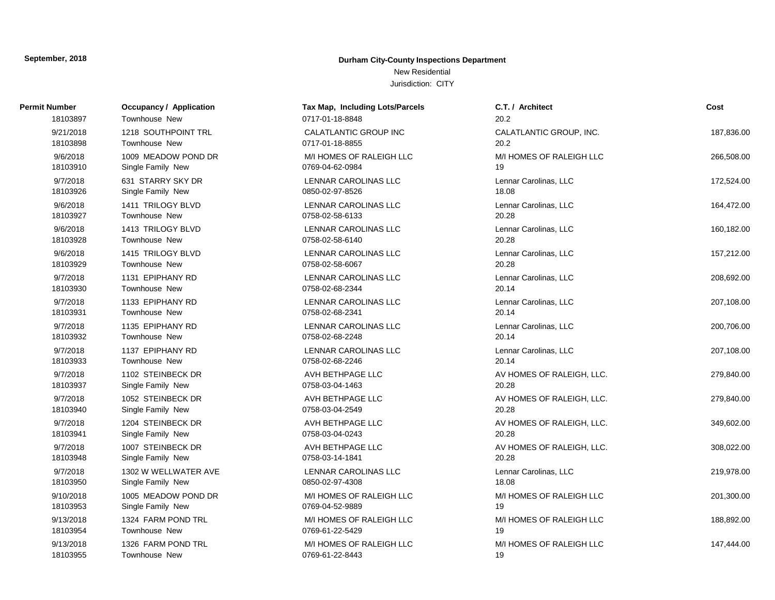# **Durham City-County Inspections Department**

New Residential

| Permit Number | Occupancy / Application | Tax Map, Including Lots/Parcels | C.T. / Architect          | Cost       |
|---------------|-------------------------|---------------------------------|---------------------------|------------|
| 18103897      | Townhouse New           | 0717-01-18-8848                 | 20.2                      |            |
| 9/21/2018     | 1218 SOUTHPOINT TRL     | <b>CALATLANTIC GROUP INC</b>    | CALATLANTIC GROUP, INC.   | 187,836.00 |
| 18103898      | Townhouse New           | 0717-01-18-8855                 | 20.2                      |            |
| 9/6/2018      | 1009 MEADOW POND DR     | M/I HOMES OF RALEIGH LLC        | M/I HOMES OF RALEIGH LLC  | 266,508.00 |
| 18103910      | Single Family New       | 0769-04-62-0984                 | 19                        |            |
| 9/7/2018      | 631 STARRY SKY DR       | LENNAR CAROLINAS LLC            | Lennar Carolinas, LLC     | 172,524.00 |
| 18103926      | Single Family New       | 0850-02-97-8526                 | 18.08                     |            |
| 9/6/2018      | 1411 TRILOGY BLVD       | <b>LENNAR CAROLINAS LLC</b>     | Lennar Carolinas, LLC     | 164,472.00 |
| 18103927      | <b>Townhouse New</b>    | 0758-02-58-6133                 | 20.28                     |            |
| 9/6/2018      | 1413 TRILOGY BLVD       | <b>LENNAR CAROLINAS LLC</b>     | Lennar Carolinas, LLC     | 160,182.00 |
| 18103928      | Townhouse New           | 0758-02-58-6140                 | 20.28                     |            |
| 9/6/2018      | 1415 TRILOGY BLVD       | LENNAR CAROLINAS LLC            | Lennar Carolinas, LLC     | 157,212.00 |
| 18103929      | <b>Townhouse New</b>    | 0758-02-58-6067                 | 20.28                     |            |
| 9/7/2018      | 1131 EPIPHANY RD        | LENNAR CAROLINAS LLC            | Lennar Carolinas, LLC     | 208,692.00 |
| 18103930      | Townhouse New           | 0758-02-68-2344                 | 20.14                     |            |
| 9/7/2018      | 1133 EPIPHANY RD        | LENNAR CAROLINAS LLC            | Lennar Carolinas, LLC     | 207,108.00 |
| 18103931      | Townhouse New           | 0758-02-68-2341                 | 20.14                     |            |
| 9/7/2018      | 1135 EPIPHANY RD        | LENNAR CAROLINAS LLC            | Lennar Carolinas, LLC     | 200,706.00 |
| 18103932      | <b>Townhouse New</b>    | 0758-02-68-2248                 | 20.14                     |            |
| 9/7/2018      | 1137 EPIPHANY RD        | LENNAR CAROLINAS LLC            | Lennar Carolinas, LLC     | 207,108.00 |
| 18103933      | <b>Townhouse New</b>    | 0758-02-68-2246                 | 20.14                     |            |
| 9/7/2018      | 1102 STEINBECK DR       | AVH BETHPAGE LLC                | AV HOMES OF RALEIGH, LLC. | 279,840.00 |
| 18103937      | Single Family New       | 0758-03-04-1463                 | 20.28                     |            |
| 9/7/2018      | 1052 STEINBECK DR       | AVH BETHPAGE LLC                | AV HOMES OF RALEIGH, LLC. | 279,840.00 |
| 18103940      | Single Family New       | 0758-03-04-2549                 | 20.28                     |            |
| 9/7/2018      | 1204 STEINBECK DR       | AVH BETHPAGE LLC                | AV HOMES OF RALEIGH, LLC. | 349,602.00 |
| 18103941      | Single Family New       | 0758-03-04-0243                 | 20.28                     |            |
| 9/7/2018      | 1007 STEINBECK DR       | AVH BETHPAGE LLC                | AV HOMES OF RALEIGH, LLC. | 308,022.00 |
| 18103948      | Single Family New       | 0758-03-14-1841                 | 20.28                     |            |
| 9/7/2018      | 1302 W WELLWATER AVE    | LENNAR CAROLINAS LLC            | Lennar Carolinas, LLC     | 219,978.00 |
| 18103950      | Single Family New       | 0850-02-97-4308                 | 18.08                     |            |
| 9/10/2018     | 1005 MEADOW POND DR     | M/I HOMES OF RALEIGH LLC        | M/I HOMES OF RALEIGH LLC  | 201,300.00 |
| 18103953      | Single Family New       | 0769-04-52-9889                 | 19                        |            |
| 9/13/2018     | 1324 FARM POND TRL      | M/I HOMES OF RALEIGH LLC        | M/I HOMES OF RALEIGH LLC  | 188,892.00 |
| 18103954      | Townhouse New           | 0769-61-22-5429                 | 19                        |            |
| 9/13/2018     | 1326 FARM POND TRL      | M/I HOMES OF RALEIGH LLC        | M/I HOMES OF RALEIGH LLC  | 147,444.00 |
| 18103955      | Townhouse New           | 0769-61-22-8443                 | 19                        |            |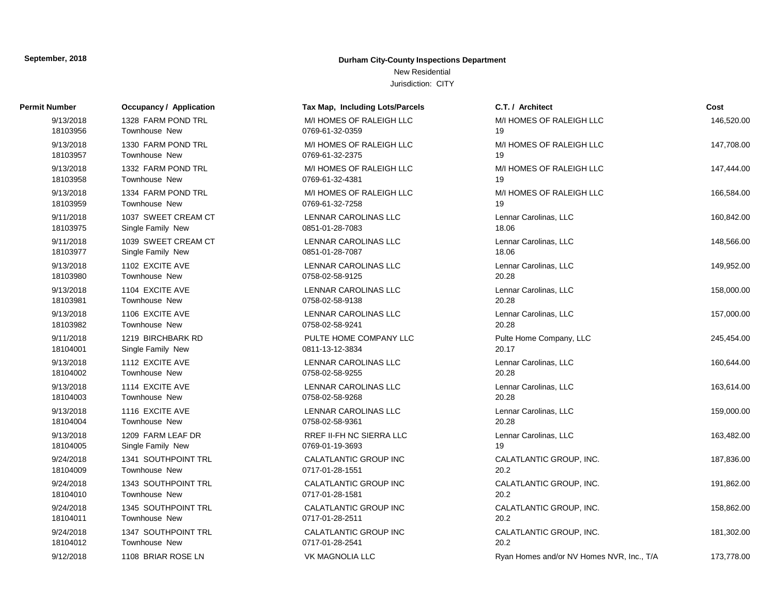# **Durham City-County Inspections Department**

# New Residential

| Permit Number         | <b>Occupancy / Application</b>      | Tax Map, Including Lots/Parcels             | C.T. / Architect                          | Cost       |
|-----------------------|-------------------------------------|---------------------------------------------|-------------------------------------------|------------|
| 9/13/2018             | 1328 FARM POND TRL                  | M/I HOMES OF RALEIGH LLC                    | M/I HOMES OF RALEIGH LLC                  | 146,520.00 |
| 18103956              | Townhouse New                       | 0769-61-32-0359                             | 19                                        |            |
| 9/13/2018<br>18103957 | 1330 FARM POND TRL<br>Townhouse New | M/I HOMES OF RALEIGH LLC<br>0769-61-32-2375 | M/I HOMES OF RALEIGH LLC<br>19            | 147,708.00 |
| 9/13/2018             | 1332 FARM POND TRL                  | M/I HOMES OF RALEIGH LLC                    | M/I HOMES OF RALEIGH LLC                  | 147,444.00 |
| 18103958              | Townhouse New                       | 0769-61-32-4381                             | 19                                        |            |
| 9/13/2018             | 1334 FARM POND TRL                  | M/I HOMES OF RALEIGH LLC                    | M/I HOMES OF RALEIGH LLC                  | 166,584.00 |
| 18103959              | Townhouse New                       | 0769-61-32-7258                             | 19                                        |            |
| 9/11/2018             | 1037 SWEET CREAM CT                 | LENNAR CAROLINAS LLC                        | Lennar Carolinas, LLC                     | 160,842.00 |
| 18103975              | Single Family New                   | 0851-01-28-7083                             | 18.06                                     |            |
| 9/11/2018             | 1039 SWEET CREAM CT                 | LENNAR CAROLINAS LLC                        | Lennar Carolinas, LLC                     | 148,566.00 |
| 18103977              | Single Family New                   | 0851-01-28-7087                             | 18.06                                     |            |
| 9/13/2018             | 1102 EXCITE AVE                     | <b>LENNAR CAROLINAS LLC</b>                 | Lennar Carolinas, LLC                     | 149,952.00 |
| 18103980              | <b>Townhouse New</b>                | 0758-02-58-9125                             | 20.28                                     |            |
| 9/13/2018             | 1104 EXCITE AVE                     | <b>LENNAR CAROLINAS LLC</b>                 | Lennar Carolinas, LLC                     | 158,000.00 |
| 18103981              | Townhouse New                       | 0758-02-58-9138                             | 20.28                                     |            |
| 9/13/2018             | 1106 EXCITE AVE                     | LENNAR CAROLINAS LLC                        | Lennar Carolinas, LLC                     | 157,000.00 |
| 18103982              | <b>Townhouse New</b>                | 0758-02-58-9241                             | 20.28                                     |            |
| 9/11/2018             | 1219 BIRCHBARK RD                   | PULTE HOME COMPANY LLC                      | Pulte Home Company, LLC                   | 245,454.00 |
| 18104001              | Single Family New                   | 0811-13-12-3834                             | 20.17                                     |            |
| 9/13/2018             | 1112 EXCITE AVE                     | LENNAR CAROLINAS LLC                        | Lennar Carolinas, LLC                     | 160,644.00 |
| 18104002              | <b>Townhouse New</b>                | 0758-02-58-9255                             | 20.28                                     |            |
| 9/13/2018             | 1114 EXCITE AVE                     | LENNAR CAROLINAS LLC                        | Lennar Carolinas, LLC                     | 163,614.00 |
| 18104003              | <b>Townhouse New</b>                | 0758-02-58-9268                             | 20.28                                     |            |
| 9/13/2018             | 1116 EXCITE AVE                     | LENNAR CAROLINAS LLC                        | Lennar Carolinas, LLC                     | 159,000.00 |
| 18104004              | Townhouse New                       | 0758-02-58-9361                             | 20.28                                     |            |
| 9/13/2018             | 1209 FARM LEAF DR                   | <b>RREF II-FH NC SIERRA LLC</b>             | Lennar Carolinas, LLC                     | 163,482.00 |
| 18104005              | Single Family New                   | 0769-01-19-3693                             | 19                                        |            |
| 9/24/2018             | 1341 SOUTHPOINT TRL                 | CALATLANTIC GROUP INC                       | CALATLANTIC GROUP, INC.                   | 187,836.00 |
| 18104009              | Townhouse New                       | 0717-01-28-1551                             | 20.2                                      |            |
| 9/24/2018             | 1343 SOUTHPOINT TRL                 | CALATLANTIC GROUP INC                       | CALATLANTIC GROUP, INC.                   | 191,862.00 |
| 18104010              | Townhouse New                       | 0717-01-28-1581                             | 20.2                                      |            |
| 9/24/2018             | 1345 SOUTHPOINT TRL                 | CALATLANTIC GROUP INC                       | CALATLANTIC GROUP, INC.                   | 158,862.00 |
| 18104011              | <b>Townhouse New</b>                | 0717-01-28-2511                             | 20.2                                      |            |
| 9/24/2018             | 1347 SOUTHPOINT TRL                 | <b>CALATLANTIC GROUP INC</b>                | CALATLANTIC GROUP, INC.                   | 181,302.00 |
| 18104012              | Townhouse New                       | 0717-01-28-2541                             | 20.2                                      |            |
| 9/12/2018             | 1108 BRIAR ROSE LN                  | <b>VK MAGNOLIA LLC</b>                      | Ryan Homes and/or NV Homes NVR, Inc., T/A | 173,778.00 |
|                       |                                     |                                             |                                           |            |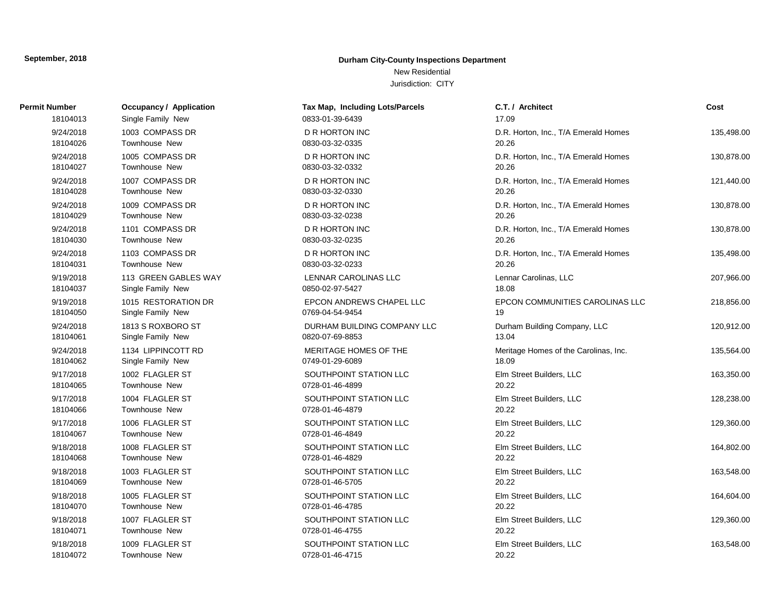# **Durham City-County Inspections Department**

New Residential

| Permit Number | Occupancy / Application | Tax Map, Including Lots/Parcels | C.T. / Architect                      | Cost       |
|---------------|-------------------------|---------------------------------|---------------------------------------|------------|
| 18104013      | Single Family New       | 0833-01-39-6439                 | 17.09                                 |            |
| 9/24/2018     | 1003 COMPASS DR         | <b>D R HORTON INC</b>           | D.R. Horton, Inc., T/A Emerald Homes  | 135,498.00 |
| 18104026      | <b>Townhouse New</b>    | 0830-03-32-0335                 | 20.26                                 |            |
| 9/24/2018     | 1005 COMPASS DR         | <b>D R HORTON INC</b>           | D.R. Horton, Inc., T/A Emerald Homes  | 130,878.00 |
| 18104027      | <b>Townhouse New</b>    | 0830-03-32-0332                 | 20.26                                 |            |
| 9/24/2018     | 1007 COMPASS DR         | <b>D R HORTON INC</b>           | D.R. Horton, Inc., T/A Emerald Homes  | 121,440.00 |
| 18104028      | Townhouse New           | 0830-03-32-0330                 | 20.26                                 |            |
| 9/24/2018     | 1009 COMPASS DR         | D R HORTON INC                  | D.R. Horton, Inc., T/A Emerald Homes  | 130,878.00 |
| 18104029      | Townhouse New           | 0830-03-32-0238                 | 20.26                                 |            |
| 9/24/2018     | 1101 COMPASS DR         | <b>D R HORTON INC</b>           | D.R. Horton, Inc., T/A Emerald Homes  | 130,878.00 |
| 18104030      | <b>Townhouse New</b>    | 0830-03-32-0235                 | 20.26                                 |            |
| 9/24/2018     | 1103 COMPASS DR         | D R HORTON INC                  | D.R. Horton, Inc., T/A Emerald Homes  | 135,498.00 |
| 18104031      | Townhouse New           | 0830-03-32-0233                 | 20.26                                 |            |
| 9/19/2018     | 113 GREEN GABLES WAY    | <b>LENNAR CAROLINAS LLC</b>     | Lennar Carolinas, LLC                 | 207,966.00 |
| 18104037      | Single Family New       | 0850-02-97-5427                 | 18.08                                 |            |
| 9/19/2018     | 1015 RESTORATION DR     | EPCON ANDREWS CHAPEL LLC        | EPCON COMMUNITIES CAROLINAS LLC       | 218,856.00 |
| 18104050      | Single Family New       | 0769-04-54-9454                 | 19                                    |            |
| 9/24/2018     | 1813 S ROXBORO ST       | DURHAM BUILDING COMPANY LLC     | Durham Building Company, LLC          | 120,912.00 |
| 18104061      | Single Family New       | 0820-07-69-8853                 | 13.04                                 |            |
| 9/24/2018     | 1134 LIPPINCOTT RD      | MERITAGE HOMES OF THE           | Meritage Homes of the Carolinas, Inc. | 135,564.00 |
| 18104062      | Single Family New       | 0749-01-29-6089                 | 18.09                                 |            |
| 9/17/2018     | 1002 FLAGLER ST         | SOUTHPOINT STATION LLC          | Elm Street Builders, LLC              | 163,350.00 |
| 18104065      | <b>Townhouse New</b>    | 0728-01-46-4899                 | 20.22                                 |            |
| 9/17/2018     | 1004 FLAGLER ST         | SOUTHPOINT STATION LLC          | Elm Street Builders, LLC              | 128,238.00 |
| 18104066      | Townhouse New           | 0728-01-46-4879                 | 20.22                                 |            |
| 9/17/2018     | 1006 FLAGLER ST         | SOUTHPOINT STATION LLC          | Elm Street Builders, LLC              | 129,360.00 |
| 18104067      | Townhouse New           | 0728-01-46-4849                 | 20.22                                 |            |
| 9/18/2018     | 1008 FLAGLER ST         | SOUTHPOINT STATION LLC          | Elm Street Builders, LLC              | 164,802.00 |
| 18104068      | Townhouse New           | 0728-01-46-4829                 | 20.22                                 |            |
| 9/18/2018     | 1003 FLAGLER ST         | SOUTHPOINT STATION LLC          | Elm Street Builders, LLC              | 163,548.00 |
| 18104069      | Townhouse New           | 0728-01-46-5705                 | 20.22                                 |            |
| 9/18/2018     | 1005 FLAGLER ST         | SOUTHPOINT STATION LLC          | Elm Street Builders, LLC              | 164,604.00 |
| 18104070      | Townhouse New           | 0728-01-46-4785                 | 20.22                                 |            |
| 9/18/2018     | 1007 FLAGLER ST         | SOUTHPOINT STATION LLC          | Elm Street Builders, LLC              | 129,360.00 |
| 18104071      | Townhouse New           | 0728-01-46-4755                 | 20.22                                 |            |
| 9/18/2018     | 1009 FLAGLER ST         | SOUTHPOINT STATION LLC          | Elm Street Builders, LLC              | 163,548.00 |
| 18104072      | Townhouse New           | 0728-01-46-4715                 | 20.22                                 |            |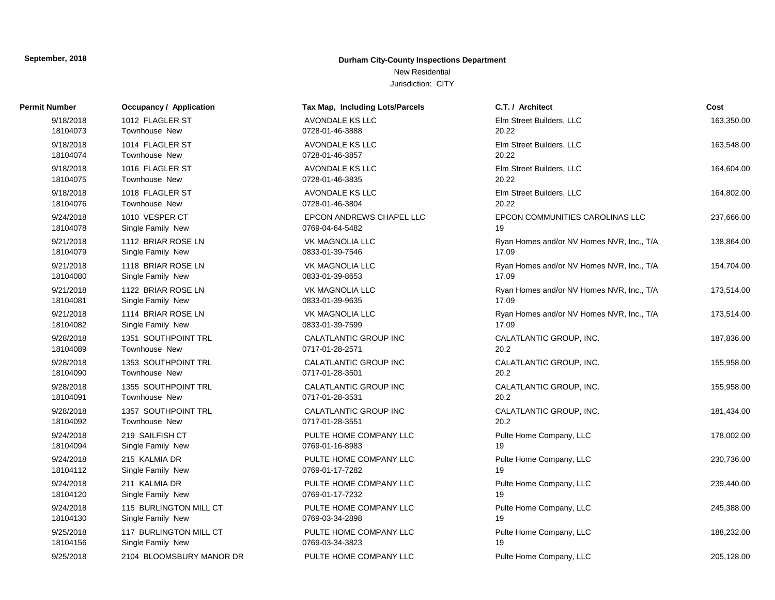# **Durham City-County Inspections Department**

New Residential

| Permit Number         | Occupancy / Application                     | Tax Map, Including Lots/Parcels                 | C.T. / Architect                                   | Cost       |
|-----------------------|---------------------------------------------|-------------------------------------------------|----------------------------------------------------|------------|
| 9/18/2018<br>18104073 | 1012 FLAGLER ST<br>Townhouse New            | AVONDALE KS LLC<br>0728-01-46-3888              | Elm Street Builders, LLC<br>20.22                  | 163,350.00 |
| 9/18/2018             | 1014 FLAGLER ST                             | AVONDALE KS LLC                                 | Elm Street Builders, LLC                           | 163,548.00 |
| 18104074              | Townhouse New                               | 0728-01-46-3857                                 | 20.22                                              |            |
| 9/18/2018             | 1016 FLAGLER ST                             | <b>AVONDALE KS LLC</b>                          | Elm Street Builders, LLC                           | 164,604.00 |
| 18104075              | <b>Townhouse New</b>                        | 0728-01-46-3835                                 | 20.22                                              |            |
| 9/18/2018             | 1018 FLAGLER ST                             | <b>AVONDALE KS LLC</b>                          | Elm Street Builders, LLC                           | 164,802.00 |
| 18104076              | Townhouse New                               | 0728-01-46-3804                                 | 20.22                                              |            |
| 9/24/2018             | 1010 VESPER CT                              | EPCON ANDREWS CHAPEL LLC                        | EPCON COMMUNITIES CAROLINAS LLC                    | 237,666.00 |
| 18104078              | Single Family New                           | 0769-04-64-5482                                 | 19                                                 |            |
| 9/21/2018             | 1112 BRIAR ROSE LN                          | <b>VK MAGNOLIA LLC</b>                          | Ryan Homes and/or NV Homes NVR, Inc., T/A          | 138,864.00 |
| 18104079              | Single Family New                           | 0833-01-39-7546                                 | 17.09                                              |            |
| 9/21/2018<br>18104080 | 1118 BRIAR ROSE LN<br>Single Family New     | <b>VK MAGNOLIA LLC</b><br>0833-01-39-8653       | Ryan Homes and/or NV Homes NVR, Inc., T/A<br>17.09 | 154,704.00 |
| 9/21/2018<br>18104081 | 1122 BRIAR ROSE LN<br>Single Family New     | <b>VK MAGNOLIA LLC</b><br>0833-01-39-9635       | Ryan Homes and/or NV Homes NVR, Inc., T/A<br>17.09 | 173,514.00 |
|                       |                                             |                                                 |                                                    |            |
| 9/21/2018<br>18104082 | 1114 BRIAR ROSE LN<br>Single Family New     | <b>VK MAGNOLIA LLC</b><br>0833-01-39-7599       | Ryan Homes and/or NV Homes NVR, Inc., T/A<br>17.09 | 173,514.00 |
| 9/28/2018<br>18104089 | 1351 SOUTHPOINT TRL<br>Townhouse New        | <b>CALATLANTIC GROUP INC</b><br>0717-01-28-2571 | CALATLANTIC GROUP, INC.<br>20.2                    | 187,836.00 |
| 9/28/2018             | 1353 SOUTHPOINT TRL                         | CALATLANTIC GROUP INC                           | CALATLANTIC GROUP, INC.                            | 155,958.00 |
| 18104090              | Townhouse New                               | 0717-01-28-3501                                 | 20.2                                               |            |
| 9/28/2018<br>18104091 | 1355 SOUTHPOINT TRL<br>Townhouse New        | CALATLANTIC GROUP INC<br>0717-01-28-3531        | CALATLANTIC GROUP, INC.<br>20.2                    | 155,958.00 |
| 9/28/2018<br>18104092 | 1357 SOUTHPOINT TRL<br>Townhouse New        | CALATLANTIC GROUP INC<br>0717-01-28-3551        | CALATLANTIC GROUP, INC.<br>20.2                    | 181,434.00 |
| 9/24/2018             | 219 SAILFISH CT                             | PULTE HOME COMPANY LLC                          | Pulte Home Company, LLC                            | 178,002.00 |
| 18104094              | Single Family New                           | 0769-01-16-8983                                 | 19                                                 |            |
| 9/24/2018<br>18104112 | 215 KALMIA DR<br>Single Family New          | PULTE HOME COMPANY LLC<br>0769-01-17-7282       | Pulte Home Company, LLC<br>19                      | 230,736.00 |
|                       |                                             |                                                 |                                                    |            |
| 9/24/2018<br>18104120 | 211 KALMIA DR<br>Single Family New          | PULTE HOME COMPANY LLC<br>0769-01-17-7232       | Pulte Home Company, LLC<br>19                      | 239,440.00 |
| 9/24/2018             | 115 BURLINGTON MILL CT                      | PULTE HOME COMPANY LLC                          | Pulte Home Company, LLC                            | 245,388.00 |
| 18104130              | Single Family New                           | 0769-03-34-2898                                 | 19                                                 |            |
| 9/25/2018<br>18104156 | 117 BURLINGTON MILL CT<br>Single Family New | PULTE HOME COMPANY LLC<br>0769-03-34-3823       | Pulte Home Company, LLC<br>19                      | 188,232.00 |
| 9/25/2018             | 2104 BLOOMSBURY MANOR DR                    | PULTE HOME COMPANY LLC                          | Pulte Home Company, LLC                            | 205,128.00 |